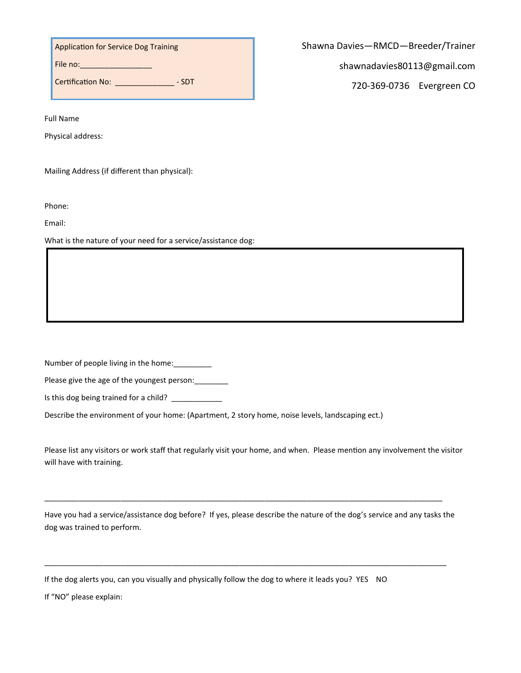Application for Service Dog Training

File no: \_\_\_\_\_\_\_\_\_\_\_\_\_\_\_\_\_\_\_\_\_

Certification No: \_\_\_\_\_\_\_\_\_\_\_\_\_\_ - SDT

Full Name

Physical address:

Mailing Address (if different than physical):

Phone:

Email:

What is the nature of your need for a service/assistance dog:

Number of people living in the home: \_\_\_\_\_\_\_\_\_

| Please give the age of the youngest person: |  |
|---------------------------------------------|--|
|---------------------------------------------|--|

Is this dog being trained for a child? \_\_\_\_\_\_\_\_\_\_\_\_\_

Describe the environment of your home: (Apartment, 2 story home, noise levels, landscaping ect.)

Please list any visitors or work staff that regularly visit your home, and when. Please mention any involvement the visitor will have with training.

Have you had a service/assistance dog before? If yes, please describe the nature of the dog's service and any tasks the dog was trained to perform.

\_\_\_\_\_\_\_\_\_\_\_\_\_\_\_\_\_\_\_\_\_\_\_\_\_\_\_\_\_\_\_\_\_\_\_\_\_\_\_\_\_\_\_\_\_\_\_\_\_\_\_\_\_\_\_\_\_\_\_\_\_\_\_\_\_\_\_\_\_\_\_\_\_\_\_\_\_\_\_\_\_\_\_\_\_\_\_\_\_\_\_\_\_\_\_

\_\_\_\_\_\_\_\_\_\_\_\_\_\_\_\_\_\_\_\_\_\_\_\_\_\_\_\_\_\_\_\_\_\_\_\_\_\_\_\_\_\_\_\_\_\_\_\_\_\_\_\_\_\_\_\_\_\_\_\_\_\_\_\_\_\_\_\_\_\_\_\_\_\_\_\_\_\_\_\_\_\_\_\_\_\_\_\_\_\_\_\_\_\_

If the dog alerts you, can you visually and physically follow the dog to where it leads you? YES NO

If "NO" please explain:

Shawna Davies—RMCD—Breeder/Trainer

shawnadavies80113@gmail.com

720-369-0736 Evergreen CO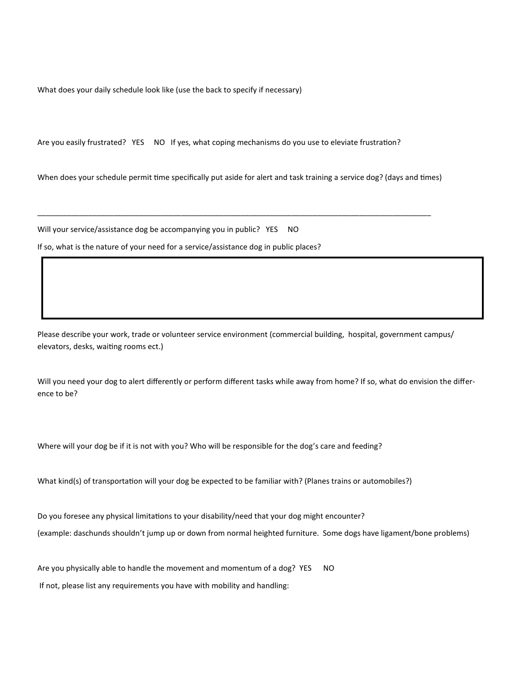What does your daily schedule look like (use the back to specify if necessary)

Are you easily frustrated? YES NO If yes, what coping mechanisms do you use to eleviate frustration?

When does your schedule permit time specifically put aside for alert and task training a service dog? (days and times)

\_\_\_\_\_\_\_\_\_\_\_\_\_\_\_\_\_\_\_\_\_\_\_\_\_\_\_\_\_\_\_\_\_\_\_\_\_\_\_\_\_\_\_\_\_\_\_\_\_\_\_\_\_\_\_\_\_\_\_\_\_\_\_\_\_\_\_\_\_\_\_\_\_\_\_\_\_\_\_\_\_\_\_\_\_\_\_\_\_\_\_\_\_

Will your service/assistance dog be accompanying you in public? YES NO

If so, what is the nature of your need for a service/assistance dog in public places?

Please describe your work, trade or volunteer service environment (commercial building, hospital, government campus/ elevators, desks, waiting rooms ect.)

Will you need your dog to alert differently or perform different tasks while away from home? If so, what do envision the difference to be?

Where will your dog be if it is not with you? Who will be responsible for the dog's care and feeding?

What kind(s) of transportation will your dog be expected to be familiar with? (Planes trains or automobiles?)

Do you foresee any physical limitations to your disability/need that your dog might encounter?

(example: daschunds shouldn't jump up or down from normal heighted furniture. Some dogs have ligament/bone problems)

Are you physically able to handle the movement and momentum of a dog? YES NO

If not, please list any requirements you have with mobility and handling: